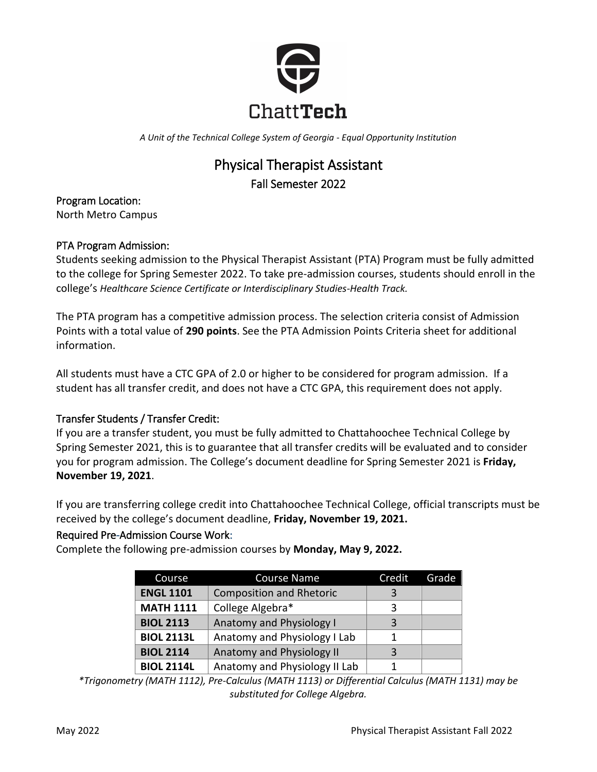

*A Unit of the Technical College System of Georgia - Equal Opportunity Institution*

# Physical Therapist Assistant Fall Semester 2022

Program Location: North Metro Campus

# PTA Program Admission:

Students seeking admission to the Physical Therapist Assistant (PTA) Program must be fully admitted to the college for Spring Semester 2022. To take pre-admission courses, students should enroll in the college's *Healthcare Science Certificate or Interdisciplinary Studies-Health Track.* 

The PTA program has a competitive admission process. The selection criteria consist of Admission Points with a total value of **290 points**. See the PTA Admission Points Criteria sheet for additional information.

All students must have a CTC GPA of 2.0 or higher to be considered for program admission. If a student has all transfer credit, and does not have a CTC GPA, this requirement does not apply.

# Transfer Students / Transfer Credit:

If you are a transfer student, you must be fully admitted to Chattahoochee Technical College by Spring Semester 2021, this is to guarantee that all transfer credits will be evaluated and to consider you for program admission. The College's document deadline for Spring Semester 2021 is **Friday, November 19, 2021**.

If you are transferring college credit into Chattahoochee Technical College, official transcripts must be received by the college's document deadline, **Friday, November 19, 2021.**

# Required Pre-Admission Course Work:

Complete the following pre-admission courses by **Monday, May 9, 2022.**

| Course            | <b>Course Name</b>              | Credit | Grade |
|-------------------|---------------------------------|--------|-------|
| <b>ENGL 1101</b>  | <b>Composition and Rhetoric</b> | २      |       |
| <b>MATH 1111</b>  | College Algebra*                | ζ      |       |
| <b>BIOL 2113</b>  | <b>Anatomy and Physiology I</b> | 3      |       |
| <b>BIOL 2113L</b> | Anatomy and Physiology I Lab    |        |       |
| <b>BIOL 2114</b>  | Anatomy and Physiology II       |        |       |
| <b>BIOL 2114L</b> | Anatomy and Physiology II Lab   |        |       |

*\*Trigonometry (MATH 1112), Pre-Calculus (MATH 1113) or Differential Calculus (MATH 1131) may be substituted for College Algebra.*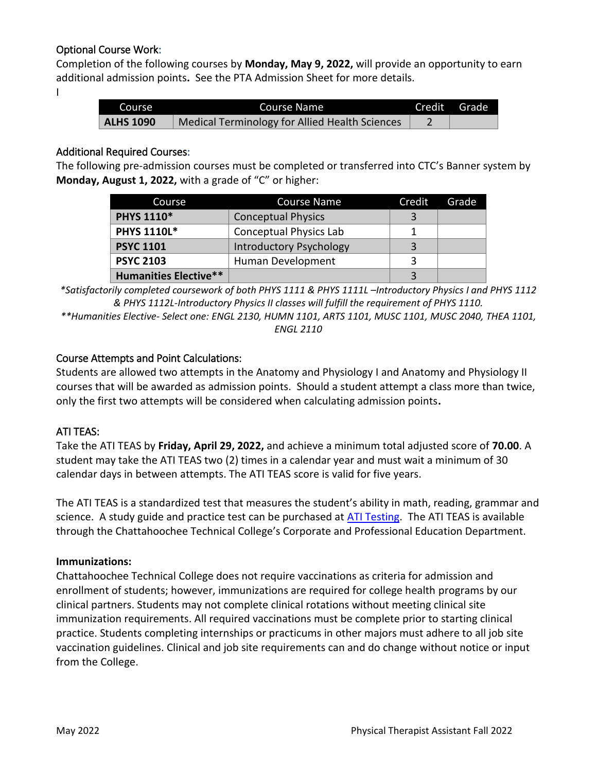# Optional Course Work:

Completion of the following courses by **Monday, May 9, 2022,** will provide an opportunity to earn additional admission points**.** See the PTA Admission Sheet for more details.

I

| Course           | Course Name                                    | Credit Grade |
|------------------|------------------------------------------------|--------------|
| <b>ALHS 1090</b> | Medical Terminology for Allied Health Sciences |              |

#### Additional Required Courses:

The following pre-admission courses must be completed or transferred into CTC's Banner system by **Monday, August 1, 2022,** with a grade of "C" or higher:

| Course                       | Course Name                    | Credit | Grade |
|------------------------------|--------------------------------|--------|-------|
| <b>PHYS 1110*</b>            | <b>Conceptual Physics</b>      |        |       |
| <b>PHYS 1110L*</b>           | <b>Conceptual Physics Lab</b>  |        |       |
| <b>PSYC 1101</b>             | <b>Introductory Psychology</b> | 3      |       |
| <b>PSYC 2103</b>             | Human Development              |        |       |
| <b>Humanities Elective**</b> |                                |        |       |

*\*Satisfactorily completed coursework of both PHYS 1111 & PHYS 1111L –Introductory Physics I and PHYS 1112 & PHYS 1112L-Introductory Physics II classes will fulfill the requirement of PHYS 1110.*

*\*\*Humanities Elective- Select one: ENGL 2130, HUMN 1101, ARTS 1101, MUSC 1101, MUSC 2040, THEA 1101, ENGL 2110*

## Course Attempts and Point Calculations:

Students are allowed two attempts in the Anatomy and Physiology I and Anatomy and Physiology II courses that will be awarded as admission points. Should a student attempt a class more than twice, only the first two attempts will be considered when calculating admission points**.**

# ATI TEAS:

Take the ATI TEAS by **Friday, April 29, 2022,** and achieve a minimum total adjusted score of **70.00**. A student may take the ATI TEAS two (2) times in a calendar year and must wait a minimum of 30 calendar days in between attempts. The ATI TEAS score is valid for five years.

The ATI TEAS is a standardized test that measures the student's ability in math, reading, grammar and science. A study guide and practice test can be purchased at [ATI Testing.](http://www.atitesting.com/) The ATI TEAS is available through the Chattahoochee Technical College's Corporate and Professional Education Department.

#### **Immunizations:**

Chattahoochee Technical College does not require vaccinations as criteria for admission and enrollment of students; however, immunizations are required for college health programs by our clinical partners. Students may not complete clinical rotations without meeting clinical site immunization requirements. All required vaccinations must be complete prior to starting clinical practice. Students completing internships or practicums in other majors must adhere to all job site vaccination guidelines. Clinical and job site requirements can and do change without notice or input from the College.